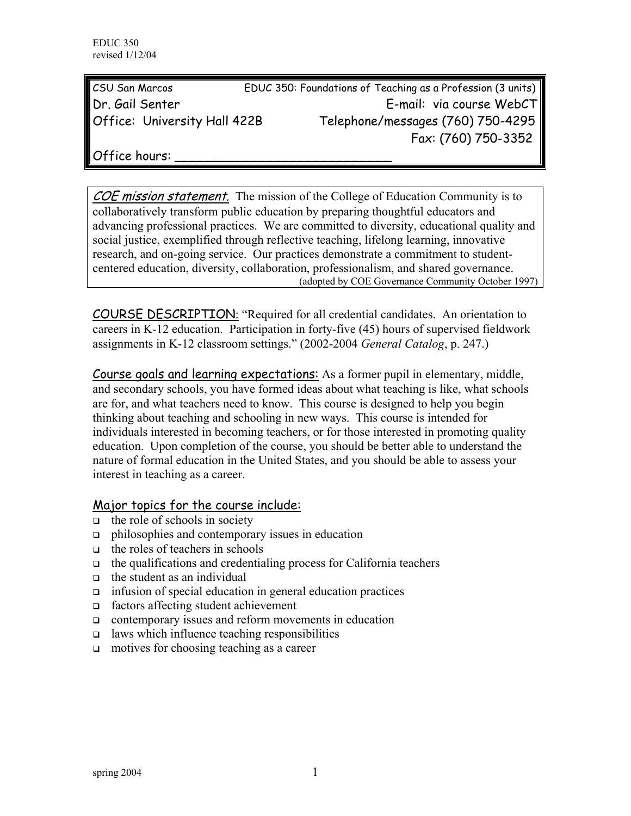| <b>CSU San Marcos</b>               | EDUC 350: Foundations of Teaching as a Profession (3 units) |
|-------------------------------------|-------------------------------------------------------------|
| Dr. Gail Senter                     | E-mail: via course WebCT                                    |
| <b>Office: University Hall 422B</b> | Telephone/messages (760) 750-4295                           |
|                                     | Fax: (760) 750-3352                                         |

Office hours:

COE mission statement. The mission of the College of Education Community is to collaboratively transform public education by preparing thoughtful educators and advancing professional practices. We are committed to diversity, educational quality and social justice, exemplified through reflective teaching, lifelong learning, innovative research, and on-going service. Our practices demonstrate a commitment to studentcentered education, diversity, collaboration, professionalism, and shared governance. (adopted by COE Governance Community October 1997)

COURSE DESCRIPTION: "Required for all credential candidates. An orientation to careers in K-12 education. Participation in forty-five (45) hours of supervised fieldwork assignments in K-12 classroom settings." (2002-2004 *General Catalog*, p. 247.)

Course goals and learning expectations: As a former pupil in elementary, middle, and secondary schools, you have formed ideas about what teaching is like, what schools are for, and what teachers need to know. This course is designed to help you begin thinking about teaching and schooling in new ways. This course is intended for individuals interested in becoming teachers, or for those interested in promoting quality education. Upon completion of the course, you should be better able to understand the nature of formal education in the United States, and you should be able to assess your interest in teaching as a career.

#### Major topics for the course include:

- $\Box$  the role of schools in society
- philosophies and contemporary issues in education
- $\Box$  the roles of teachers in schools
- $\Box$  the qualifications and credentialing process for California teachers
- $\Box$  the student as an individual
- infusion of special education in general education practices
- factors affecting student achievement
- contemporary issues and reform movements in education
- $\Box$  laws which influence teaching responsibilities
- $\Box$  motives for choosing teaching as a career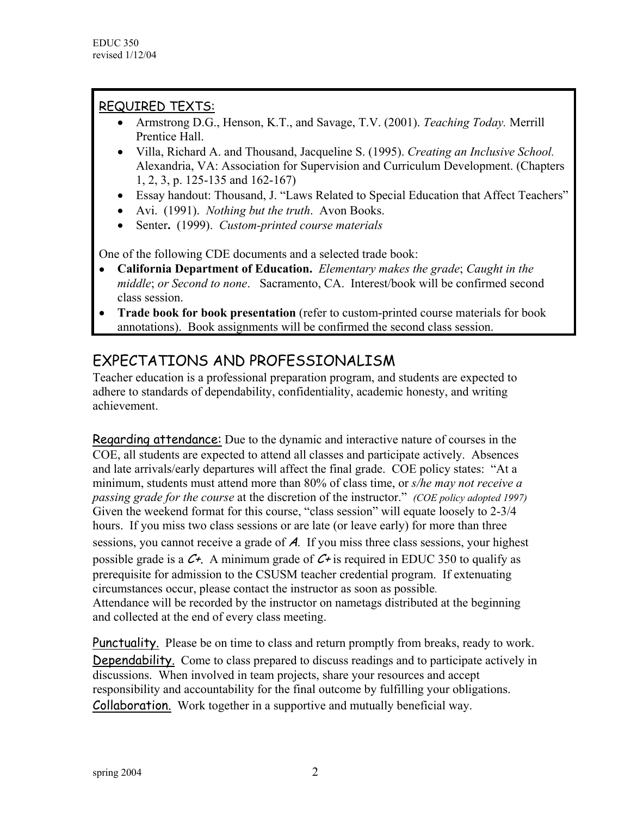# REQUIRED TEXTS:

- Armstrong D.G., Henson, K.T., and Savage, T.V. (2001). *Teaching Today.* Merrill Prentice Hall.
- Villa, Richard A. and Thousand, Jacqueline S. (1995). *Creating an Inclusive School.* Alexandria, VA: Association for Supervision and Curriculum Development. (Chapters 1, 2, 3, p. 125-135 and 162-167)
- Essay handout: Thousand, J. "Laws Related to Special Education that Affect Teachers"
- Avi. (1991). *Nothing but the truth*. Avon Books.
- Senter**.** (1999). *Custom-printed course materials*

One of the following CDE documents and a selected trade book:

- **California Department of Education.** *Elementary makes the grade*; *Caught in the middle*; *or Second to none*. Sacramento, CA. Interest/book will be confirmed second class session.
- **Trade book for book presentation** (refer to custom-printed course materials for book annotations). Book assignments will be confirmed the second class session.

# EXPECTATIONS AND PROFESSIONALISM

Teacher education is a professional preparation program, and students are expected to adhere to standards of dependability, confidentiality, academic honesty, and writing achievement.

Regarding attendance: Due to the dynamic and interactive nature of courses in the COE, all students are expected to attend all classes and participate actively. Absences and late arrivals/early departures will affect the final grade. COE policy states: "At a minimum, students must attend more than 80% of class time, or *s/he may not receive a passing grade for the course* at the discretion of the instructor." *(COE policy adopted 1997)*  Given the weekend format for this course, "class session" will equate loosely to 2-3/4 hours. If you miss two class sessions or are late (or leave early) for more than three sessions, you cannot receive a grade of A. If you miss three class sessions, your highest possible grade is a  $C_{\tau}$ . A minimum grade of  $C_{\tau}$  is required in EDUC 350 to qualify as prerequisite for admission to the CSUSM teacher credential program. If extenuating circumstances occur, please contact the instructor as soon as possible. Attendance will be recorded by the instructor on nametags distributed at the beginning and collected at the end of every class meeting.

Punctuality. Please be on time to class and return promptly from breaks, ready to work. Dependability. Come to class prepared to discuss readings and to participate actively in discussions. When involved in team projects, share your resources and accept responsibility and accountability for the final outcome by fulfilling your obligations. Collaboration. Work together in a supportive and mutually beneficial way.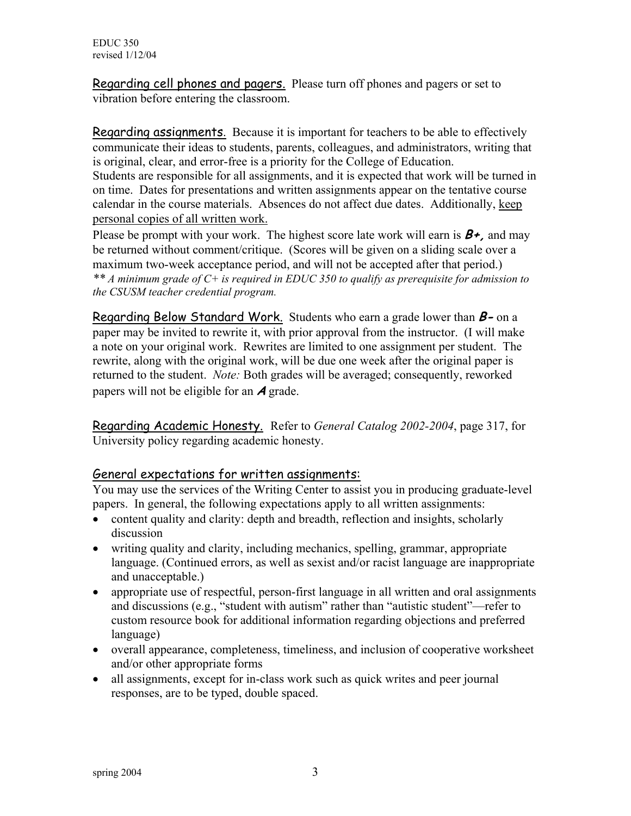Regarding cell phones and pagers. Please turn off phones and pagers or set to vibration before entering the classroom.

Regarding assignments. Because it is important for teachers to be able to effectively communicate their ideas to students, parents, colleagues, and administrators, writing that is original, clear, and error-free is a priority for the College of Education. Students are responsible for all assignments, and it is expected that work will be turned in on time. Dates for presentations and written assignments appear on the tentative course calendar in the course materials. Absences do not affect due dates. Additionally, keep personal copies of all written work.

Please be prompt with your work. The highest score late work will earn is  $B_{+}$ , and may be returned without comment/critique. (Scores will be given on a sliding scale over a maximum two-week acceptance period, and will not be accepted after that period.) *\*\* A minimum grade of C+ is required in EDUC 350 to qualify as prerequisite for admission to the CSUSM teacher credential program.*

Regarding Below Standard Work. Students who earn a grade lower than **B-** on a paper may be invited to rewrite it, with prior approval from the instructor. (I will make a note on your original work. Rewrites are limited to one assignment per student. The rewrite, along with the original work, will be due one week after the original paper is returned to the student. *Note:* Both grades will be averaged; consequently, reworked papers will not be eligible for an **A** grade.

Regarding Academic Honesty. Refer to *General Catalog 2002-2004*, page 317, for University policy regarding academic honesty.

#### General expectations for written assignments:

You may use the services of the Writing Center to assist you in producing graduate-level papers. In general, the following expectations apply to all written assignments:

- content quality and clarity: depth and breadth, reflection and insights, scholarly discussion
- writing quality and clarity, including mechanics, spelling, grammar, appropriate language. (Continued errors, as well as sexist and/or racist language are inappropriate and unacceptable.)
- appropriate use of respectful, person-first language in all written and oral assignments and discussions (e.g., "student with autism" rather than "autistic student"—refer to custom resource book for additional information regarding objections and preferred language)
- overall appearance, completeness, timeliness, and inclusion of cooperative worksheet and/or other appropriate forms
- all assignments, except for in-class work such as quick writes and peer journal responses, are to be typed, double spaced.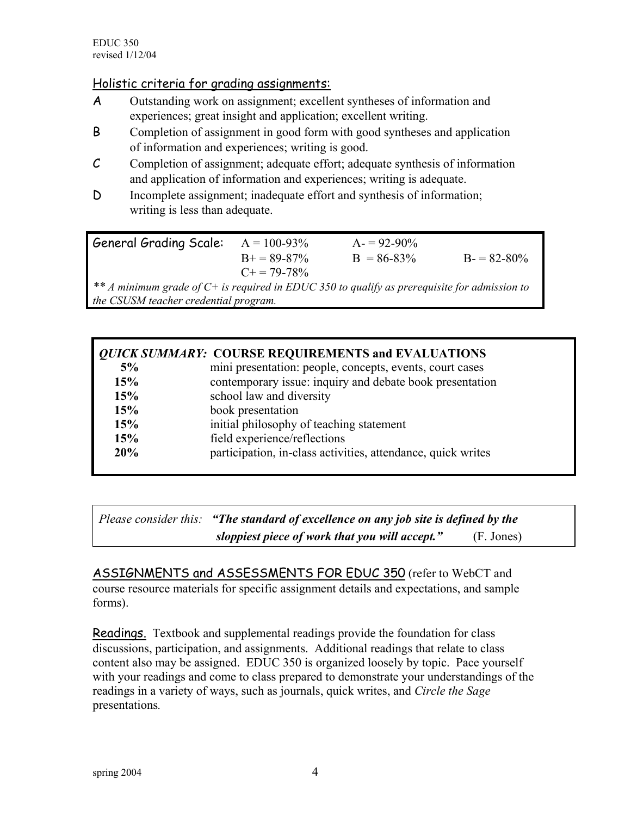#### Holistic criteria for grading assignments:

- A Outstanding work on assignment; excellent syntheses of information and experiences; great insight and application; excellent writing.
- B Completion of assignment in good form with good syntheses and application of information and experiences; writing is good.
- C Completion of assignment; adequate effort; adequate synthesis of information and application of information and experiences; writing is adequate.
- D Incomplete assignment; inadequate effort and synthesis of information; writing is less than adequate.

General Grading Scale:  $A = 100-93\%$   $A = 92-90\%$  $B = 89-87\%$  B = 86-83% B = 82-80%  $C+= 79-78%$ *\*\* A minimum grade of C+ is required in EDUC 350 to qualify as prerequisite for admission to the CSUSM teacher credential program.* 

| <b><i>QUICK SUMMARY:</i></b> COURSE REQUIREMENTS and EVALUATIONS |                                                              |
|------------------------------------------------------------------|--------------------------------------------------------------|
| 5%                                                               | mini presentation: people, concepts, events, court cases     |
| 15%                                                              | contemporary issue: inquiry and debate book presentation     |
| 15%                                                              | school law and diversity                                     |
| 15%                                                              | book presentation                                            |
| 15%                                                              | initial philosophy of teaching statement                     |
| 15%                                                              | field experience/reflections                                 |
| 20%                                                              | participation, in-class activities, attendance, quick writes |

| Please consider this: "The standard of excellence on any job site is defined by the |            |
|-------------------------------------------------------------------------------------|------------|
| sloppiest piece of work that you will accept."                                      | (F. Jones) |

ASSIGNMENTS and ASSESSMENTS FOR EDUC 350 (refer to WebCT and course resource materials for specific assignment details and expectations, and sample forms).

Readings.Textbook and supplemental readings provide the foundation for class discussions, participation, and assignments. Additional readings that relate to class content also may be assigned. EDUC 350 is organized loosely by topic. Pace yourself with your readings and come to class prepared to demonstrate your understandings of the readings in a variety of ways, such as journals, quick writes, and *Circle the Sage* presentations*.*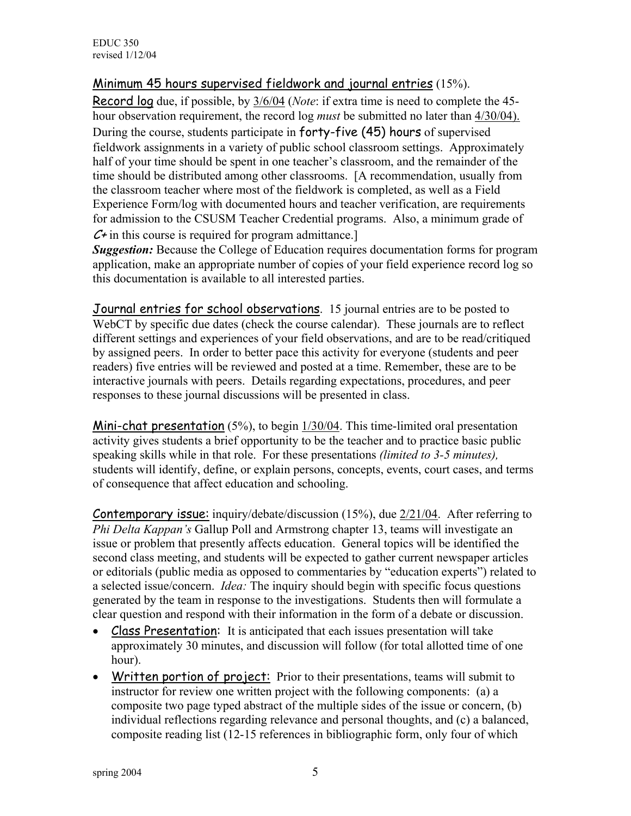EDUC 350 revised 1/12/04

#### Minimum 45 hours supervised fieldwork and journal entries (15%).

Record log due, if possible, by 3/6/04 (*Note*: if extra time is need to complete the 45 hour observation requirement, the record log *must* be submitted no later than 4/30/04). During the course, students participate in forty-five (45) hours of supervised fieldwork assignments in a variety of public school classroom settings. Approximately half of your time should be spent in one teacher's classroom, and the remainder of the time should be distributed among other classrooms. [A recommendation, usually from the classroom teacher where most of the fieldwork is completed, as well as a Field Experience Form/log with documented hours and teacher verification, are requirements for admission to the CSUSM Teacher Credential programs. Also, a minimum grade of  $C<sup>+</sup>$  in this course is required for program admittance.

*Suggestion:* Because the College of Education requires documentation forms for program application, make an appropriate number of copies of your field experience record log so this documentation is available to all interested parties.

Journal entries for school observations. 15 journal entries are to be posted to WebCT by specific due dates (check the course calendar). These journals are to reflect different settings and experiences of your field observations, and are to be read/critiqued by assigned peers. In order to better pace this activity for everyone (students and peer readers) five entries will be reviewed and posted at a time. Remember, these are to be interactive journals with peers. Details regarding expectations, procedures, and peer responses to these journal discussions will be presented in class.

Mini-chat presentation (5%), to begin 1/30/04. This time-limited oral presentation activity gives students a brief opportunity to be the teacher and to practice basic public speaking skills while in that role. For these presentations *(limited to 3-5 minutes),* students will identify, define, or explain persons, concepts, events, court cases, and terms of consequence that affect education and schooling.

**Contemporary issue:** inquiry/debate/discussion (15%), due 2/21/04. After referring to *Phi Delta Kappan's* Gallup Poll and Armstrong chapter 13, teams will investigate an issue or problem that presently affects education. General topics will be identified the second class meeting, and students will be expected to gather current newspaper articles or editorials (public media as opposed to commentaries by "education experts") related to a selected issue/concern. *Idea:* The inquiry should begin with specific focus questions generated by the team in response to the investigations. Students then will formulate a clear question and respond with their information in the form of a debate or discussion.

- Class Presentation: It is anticipated that each issues presentation will take approximately 30 minutes, and discussion will follow (for total allotted time of one hour).
- Written portion of project: Prior to their presentations, teams will submit to instructor for review one written project with the following components: (a) a composite two page typed abstract of the multiple sides of the issue or concern, (b) individual reflections regarding relevance and personal thoughts, and (c) a balanced, composite reading list (12-15 references in bibliographic form, only four of which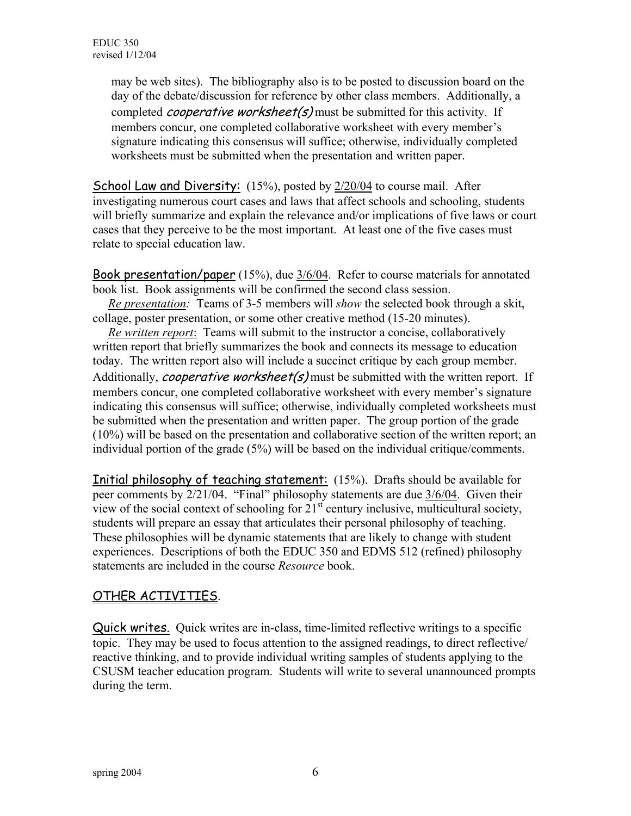may be web sites). The bibliography also is to be posted to discussion board on the day of the debate/discussion for reference by other class members. Additionally, a completed *cooperative worksheet(s)* must be submitted for this activity. If members concur, one completed collaborative worksheet with every member's signature indicating this consensus will suffice; otherwise, individually completed worksheets must be submitted when the presentation and written paper.

School Law and Diversity: (15%), posted by 2/20/04 to course mail. After investigating numerous court cases and laws that affect schools and schooling, students will briefly summarize and explain the relevance and/or implications of five laws or court cases that they perceive to be the most important. At least one of the five cases must relate to special education law.

Book presentation/paper (15%), due 3/6/04. Refer to course materials for annotated book list. Book assignments will be confirmed the second class session.

 *Re presentation:* Teams of 3-5 members will *show* the selected book through a skit, collage, poster presentation, or some other creative method (15-20 minutes).

 *Re written report*: Teams will submit to the instructor a concise, collaboratively written report that briefly summarizes the book and connects its message to education today. The written report also will include a succinct critique by each group member. Additionally, *cooperative worksheet(s)* must be submitted with the written report. If members concur, one completed collaborative worksheet with every member's signature indicating this consensus will suffice; otherwise, individually completed worksheets must be submitted when the presentation and written paper. The group portion of the grade (10%) will be based on the presentation and collaborative section of the written report; an individual portion of the grade (5%) will be based on the individual critique/comments.

Initial philosophy of teaching statement: (15%). Drafts should be available for peer comments by 2/21/04. "Final" philosophy statements are due 3/6/04. Given their view of the social context of schooling for  $21<sup>st</sup>$  century inclusive, multicultural society, students will prepare an essay that articulates their personal philosophy of teaching. These philosophies will be dynamic statements that are likely to change with student experiences. Descriptions of both the EDUC 350 and EDMS 512 (refined) philosophy statements are included in the course *Resource* book.

## OTHER ACTIVITIES.

Quick writes. Quick writes are in-class, time-limited reflective writings to a specific topic. They may be used to focus attention to the assigned readings, to direct reflective/ reactive thinking, and to provide individual writing samples of students applying to the CSUSM teacher education program. Students will write to several unannounced prompts during the term.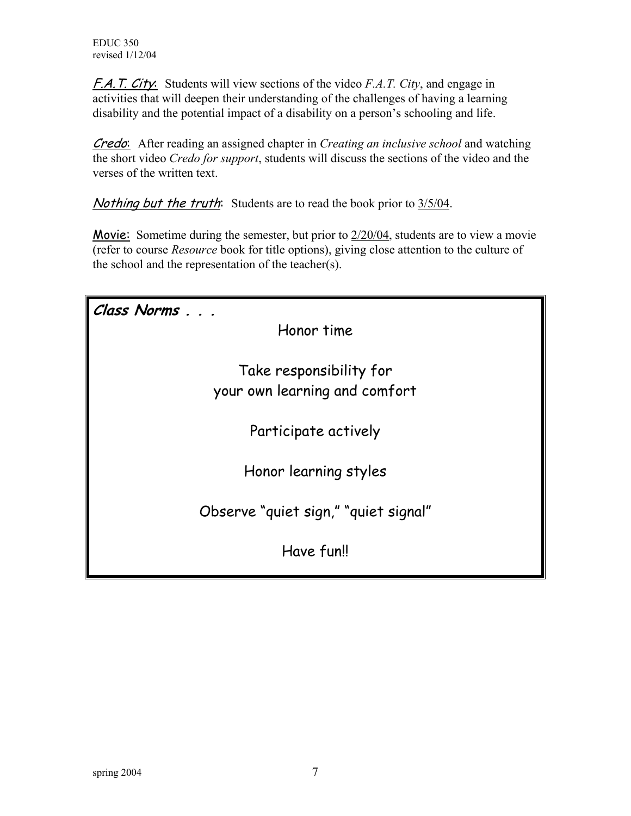F.A.T. City: Students will view sections of the video *F.A.T. City*, and engage in activities that will deepen their understanding of the challenges of having a learning disability and the potential impact of a disability on a person's schooling and life.

Credo: After reading an assigned chapter in *Creating an inclusive school* and watching the short video *Credo for support*, students will discuss the sections of the video and the verses of the written text.

Nothing but the truth: Students are to read the book prior to  $3/5/04$ .

Movie: Sometime during the semester, but prior to 2/20/04, students are to view a movie (refer to course *Resource* book for title options), giving close attention to the culture of the school and the representation of the teacher(s).

| Class Norms                          |
|--------------------------------------|
| Honor time                           |
|                                      |
| Take responsibility for              |
| your own learning and comfort        |
|                                      |
| Participate actively                 |
|                                      |
| Honor learning styles                |
|                                      |
| Observe "quiet sign," "quiet signal" |
| Have fun!!                           |
|                                      |